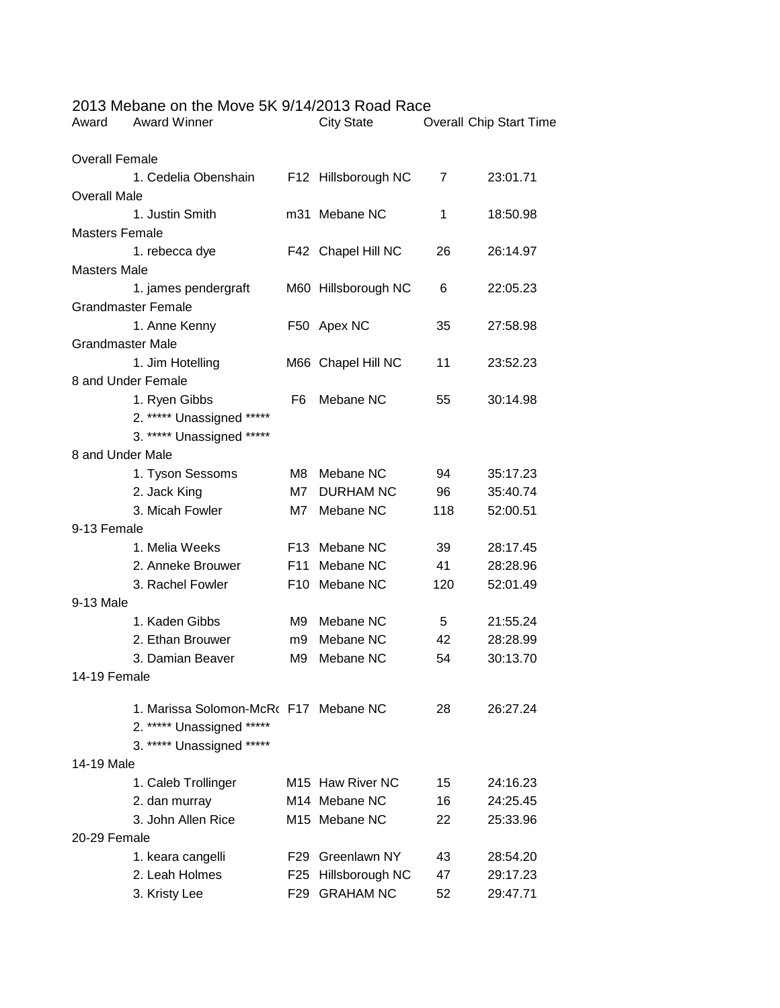| Award                   | <b>O MODATIC OIL LITO MOVO OIL OF FRIZO TO TIOGUI RACC</b><br><b>Award Winner</b> |     | <b>City State</b>            |     | <b>Overall Chip Start Time</b> |  |  |
|-------------------------|-----------------------------------------------------------------------------------|-----|------------------------------|-----|--------------------------------|--|--|
|                         |                                                                                   |     |                              |     |                                |  |  |
| <b>Overall Female</b>   |                                                                                   |     |                              |     |                                |  |  |
|                         | 1. Cedelia Obenshain                                                              |     | F12 Hillsborough NC          | 7   | 23:01.71                       |  |  |
| <b>Overall Male</b>     |                                                                                   |     |                              |     |                                |  |  |
|                         | 1. Justin Smith                                                                   |     | m31 Mebane NC                | 1   | 18:50.98                       |  |  |
| <b>Masters Female</b>   |                                                                                   |     |                              |     |                                |  |  |
|                         | 1. rebecca dye                                                                    |     | F42 Chapel Hill NC           | 26  | 26:14.97                       |  |  |
| <b>Masters Male</b>     |                                                                                   |     |                              |     |                                |  |  |
|                         | 1. james pendergraft                                                              |     | M60 Hillsborough NC          | 6   | 22:05.23                       |  |  |
|                         | <b>Grandmaster Female</b>                                                         |     |                              |     |                                |  |  |
|                         | 1. Anne Kenny                                                                     |     | F50 Apex NC                  | 35  | 27:58.98                       |  |  |
| <b>Grandmaster Male</b> |                                                                                   |     |                              |     |                                |  |  |
|                         | 1. Jim Hotelling                                                                  |     | M66 Chapel Hill NC           | 11  | 23:52.23                       |  |  |
| 8 and Under Female      |                                                                                   |     |                              |     |                                |  |  |
|                         | 1. Ryen Gibbs                                                                     | F6  | Mebane NC                    | 55  | 30:14.98                       |  |  |
|                         | 2. ***** Unassigned *****                                                         |     |                              |     |                                |  |  |
|                         | 3. ***** Unassigned *****                                                         |     |                              |     |                                |  |  |
| 8 and Under Male        |                                                                                   |     |                              |     |                                |  |  |
|                         | 1. Tyson Sessoms                                                                  | M8  | Mebane NC                    | 94  | 35:17.23                       |  |  |
|                         | 2. Jack King                                                                      | M7. | <b>DURHAM NC</b>             | 96  | 35:40.74                       |  |  |
|                         | 3. Micah Fowler                                                                   |     | M7 Mebane NC                 | 118 | 52:00.51                       |  |  |
| 9-13 Female             |                                                                                   |     |                              |     |                                |  |  |
|                         | 1. Melia Weeks                                                                    |     | F13 Mebane NC                | 39  | 28:17.45                       |  |  |
|                         | 2. Anneke Brouwer                                                                 |     | F11 Mebane NC                | 41  | 28:28.96                       |  |  |
|                         | 3. Rachel Fowler                                                                  |     | F10 Mebane NC                | 120 | 52:01.49                       |  |  |
| 9-13 Male               |                                                                                   |     |                              |     |                                |  |  |
|                         | 1. Kaden Gibbs                                                                    | M9  | Mebane NC                    | 5   | 21:55.24                       |  |  |
|                         | 2. Ethan Brouwer                                                                  | m9  | Mebane NC                    | 42  | 28:28.99                       |  |  |
|                         | 3. Damian Beaver                                                                  | M9  | Mebane NC                    | 54  | 30:13.70                       |  |  |
| 14-19 Female            |                                                                                   |     |                              |     |                                |  |  |
|                         | 1. Marissa Solomon-McR( F17 Mebane NC                                             |     |                              | 28  | 26:27.24                       |  |  |
|                         | 2. ***** Unassigned *****                                                         |     |                              |     |                                |  |  |
|                         | 3. ***** Unassigned *****                                                         |     |                              |     |                                |  |  |
| 14-19 Male              |                                                                                   |     |                              |     |                                |  |  |
|                         | 1. Caleb Trollinger                                                               |     | M <sub>15</sub> Haw River NC | 15  | 24:16.23                       |  |  |
|                         | 2. dan murray                                                                     |     | M14 Mebane NC                | 16  | 24:25.45                       |  |  |
|                         | 3. John Allen Rice                                                                |     | M <sub>15</sub> Mebane NC    | 22  | 25:33.96                       |  |  |
| 20-29 Female            |                                                                                   |     |                              |     |                                |  |  |
|                         | 1. keara cangelli                                                                 |     | F29 Greenlawn NY             | 43  | 28:54.20                       |  |  |
|                         | 2. Leah Holmes                                                                    |     | F25 Hillsborough NC          | 47  | 29:17.23                       |  |  |
|                         |                                                                                   |     | F29 GRAHAM NC                | 52  | 29:47.71                       |  |  |
|                         | 3. Kristy Lee                                                                     |     |                              |     |                                |  |  |

## 2013 Mebane on the Move 5K 9/14/2013 Road Race